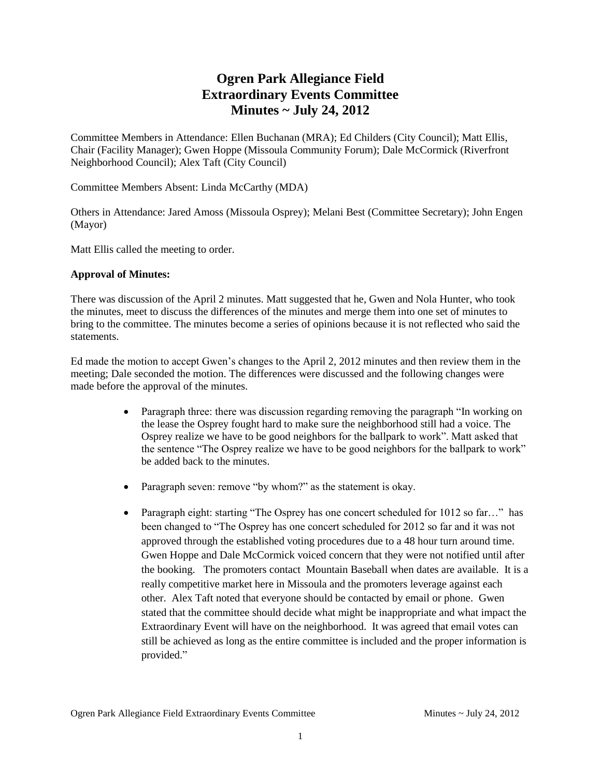# **Ogren Park Allegiance Field Extraordinary Events Committee Minutes ~ July 24, 2012**

Committee Members in Attendance: Ellen Buchanan (MRA); Ed Childers (City Council); Matt Ellis, Chair (Facility Manager); Gwen Hoppe (Missoula Community Forum); Dale McCormick (Riverfront Neighborhood Council); Alex Taft (City Council)

Committee Members Absent: Linda McCarthy (MDA)

Others in Attendance: Jared Amoss (Missoula Osprey); Melani Best (Committee Secretary); John Engen (Mayor)

Matt Ellis called the meeting to order.

#### **Approval of Minutes:**

There was discussion of the April 2 minutes. Matt suggested that he, Gwen and Nola Hunter, who took the minutes, meet to discuss the differences of the minutes and merge them into one set of minutes to bring to the committee. The minutes become a series of opinions because it is not reflected who said the statements.

Ed made the motion to accept Gwen's changes to the April 2, 2012 minutes and then review them in the meeting; Dale seconded the motion. The differences were discussed and the following changes were made before the approval of the minutes.

- Paragraph three: there was discussion regarding removing the paragraph "In working on the lease the Osprey fought hard to make sure the neighborhood still had a voice. The Osprey realize we have to be good neighbors for the ballpark to work". Matt asked that the sentence "The Osprey realize we have to be good neighbors for the ballpark to work" be added back to the minutes.
- Paragraph seven: remove "by whom?" as the statement is okay.
- Paragraph eight: starting "The Osprey has one concert scheduled for 1012 so far..." has been changed to "The Osprey has one concert scheduled for 2012 so far and it was not approved through the established voting procedures due to a 48 hour turn around time. Gwen Hoppe and Dale McCormick voiced concern that they were not notified until after the booking. The promoters contact Mountain Baseball when dates are available. It is a really competitive market here in Missoula and the promoters leverage against each other. Alex Taft noted that everyone should be contacted by email or phone. Gwen stated that the committee should decide what might be inappropriate and what impact the Extraordinary Event will have on the neighborhood. It was agreed that email votes can still be achieved as long as the entire committee is included and the proper information is provided."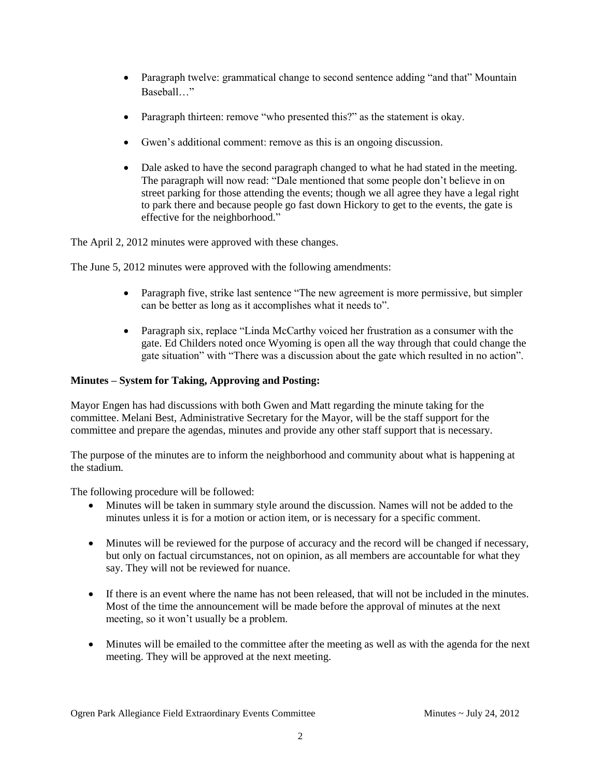- Paragraph twelve: grammatical change to second sentence adding "and that" Mountain Baseball…"
- Paragraph thirteen: remove "who presented this?" as the statement is okay.
- Gwen's additional comment: remove as this is an ongoing discussion.
- Dale asked to have the second paragraph changed to what he had stated in the meeting. The paragraph will now read: "Dale mentioned that some people don't believe in on street parking for those attending the events; though we all agree they have a legal right to park there and because people go fast down Hickory to get to the events, the gate is effective for the neighborhood."

The April 2, 2012 minutes were approved with these changes.

The June 5, 2012 minutes were approved with the following amendments:

- Paragraph five, strike last sentence "The new agreement is more permissive, but simpler can be better as long as it accomplishes what it needs to".
- Paragraph six, replace "Linda McCarthy voiced her frustration as a consumer with the gate. Ed Childers noted once Wyoming is open all the way through that could change the gate situation" with "There was a discussion about the gate which resulted in no action".

## **Minutes – System for Taking, Approving and Posting:**

Mayor Engen has had discussions with both Gwen and Matt regarding the minute taking for the committee. Melani Best, Administrative Secretary for the Mayor, will be the staff support for the committee and prepare the agendas, minutes and provide any other staff support that is necessary.

The purpose of the minutes are to inform the neighborhood and community about what is happening at the stadium.

The following procedure will be followed:

- Minutes will be taken in summary style around the discussion. Names will not be added to the minutes unless it is for a motion or action item, or is necessary for a specific comment.
- Minutes will be reviewed for the purpose of accuracy and the record will be changed if necessary, but only on factual circumstances, not on opinion, as all members are accountable for what they say. They will not be reviewed for nuance.
- If there is an event where the name has not been released, that will not be included in the minutes. Most of the time the announcement will be made before the approval of minutes at the next meeting, so it won't usually be a problem.
- Minutes will be emailed to the committee after the meeting as well as with the agenda for the next meeting. They will be approved at the next meeting.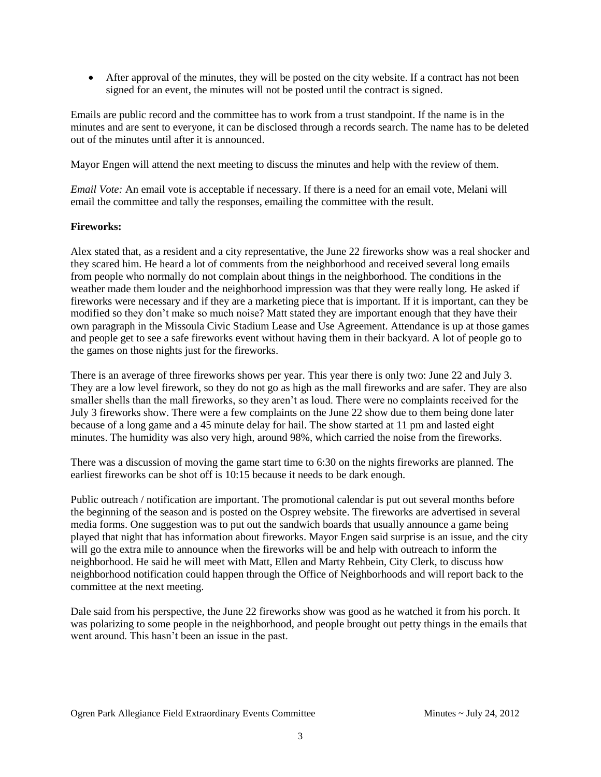After approval of the minutes, they will be posted on the city website. If a contract has not been signed for an event, the minutes will not be posted until the contract is signed.

Emails are public record and the committee has to work from a trust standpoint. If the name is in the minutes and are sent to everyone, it can be disclosed through a records search. The name has to be deleted out of the minutes until after it is announced.

Mayor Engen will attend the next meeting to discuss the minutes and help with the review of them.

*Email Vote:* An email vote is acceptable if necessary. If there is a need for an email vote, Melani will email the committee and tally the responses, emailing the committee with the result.

### **Fireworks:**

Alex stated that, as a resident and a city representative, the June 22 fireworks show was a real shocker and they scared him. He heard a lot of comments from the neighborhood and received several long emails from people who normally do not complain about things in the neighborhood. The conditions in the weather made them louder and the neighborhood impression was that they were really long. He asked if fireworks were necessary and if they are a marketing piece that is important. If it is important, can they be modified so they don't make so much noise? Matt stated they are important enough that they have their own paragraph in the Missoula Civic Stadium Lease and Use Agreement. Attendance is up at those games and people get to see a safe fireworks event without having them in their backyard. A lot of people go to the games on those nights just for the fireworks.

There is an average of three fireworks shows per year. This year there is only two: June 22 and July 3. They are a low level firework, so they do not go as high as the mall fireworks and are safer. They are also smaller shells than the mall fireworks, so they aren't as loud. There were no complaints received for the July 3 fireworks show. There were a few complaints on the June 22 show due to them being done later because of a long game and a 45 minute delay for hail. The show started at 11 pm and lasted eight minutes. The humidity was also very high, around 98%, which carried the noise from the fireworks.

There was a discussion of moving the game start time to 6:30 on the nights fireworks are planned. The earliest fireworks can be shot off is 10:15 because it needs to be dark enough.

Public outreach / notification are important. The promotional calendar is put out several months before the beginning of the season and is posted on the Osprey website. The fireworks are advertised in several media forms. One suggestion was to put out the sandwich boards that usually announce a game being played that night that has information about fireworks. Mayor Engen said surprise is an issue, and the city will go the extra mile to announce when the fireworks will be and help with outreach to inform the neighborhood. He said he will meet with Matt, Ellen and Marty Rehbein, City Clerk, to discuss how neighborhood notification could happen through the Office of Neighborhoods and will report back to the committee at the next meeting.

Dale said from his perspective, the June 22 fireworks show was good as he watched it from his porch. It was polarizing to some people in the neighborhood, and people brought out petty things in the emails that went around. This hasn't been an issue in the past.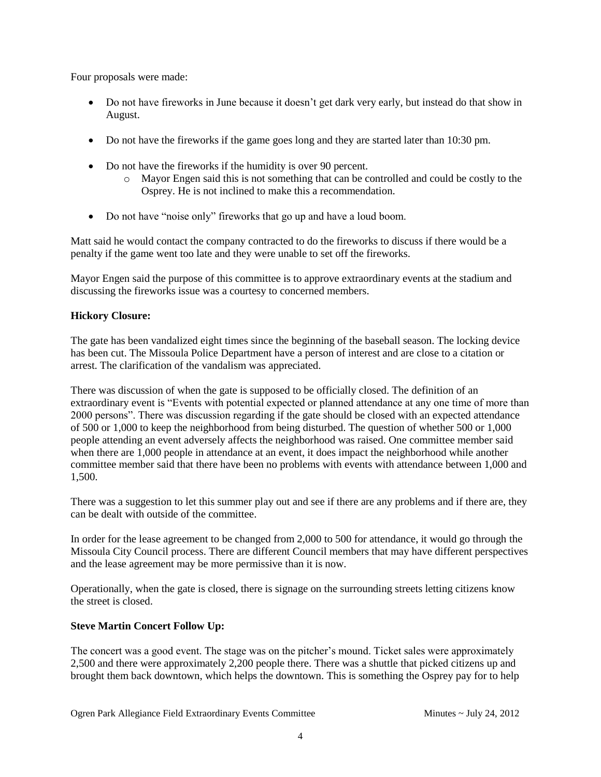Four proposals were made:

- Do not have fireworks in June because it doesn't get dark very early, but instead do that show in August.
- Do not have the fireworks if the game goes long and they are started later than 10:30 pm.
- Do not have the fireworks if the humidity is over 90 percent.
	- o Mayor Engen said this is not something that can be controlled and could be costly to the Osprey. He is not inclined to make this a recommendation.
- Do not have "noise only" fireworks that go up and have a loud boom.

Matt said he would contact the company contracted to do the fireworks to discuss if there would be a penalty if the game went too late and they were unable to set off the fireworks.

Mayor Engen said the purpose of this committee is to approve extraordinary events at the stadium and discussing the fireworks issue was a courtesy to concerned members.

## **Hickory Closure:**

The gate has been vandalized eight times since the beginning of the baseball season. The locking device has been cut. The Missoula Police Department have a person of interest and are close to a citation or arrest. The clarification of the vandalism was appreciated.

There was discussion of when the gate is supposed to be officially closed. The definition of an extraordinary event is "Events with potential expected or planned attendance at any one time of more than 2000 persons". There was discussion regarding if the gate should be closed with an expected attendance of 500 or 1,000 to keep the neighborhood from being disturbed. The question of whether 500 or 1,000 people attending an event adversely affects the neighborhood was raised. One committee member said when there are 1,000 people in attendance at an event, it does impact the neighborhood while another committee member said that there have been no problems with events with attendance between 1,000 and 1,500.

There was a suggestion to let this summer play out and see if there are any problems and if there are, they can be dealt with outside of the committee.

In order for the lease agreement to be changed from 2,000 to 500 for attendance, it would go through the Missoula City Council process. There are different Council members that may have different perspectives and the lease agreement may be more permissive than it is now.

Operationally, when the gate is closed, there is signage on the surrounding streets letting citizens know the street is closed.

## **Steve Martin Concert Follow Up:**

The concert was a good event. The stage was on the pitcher's mound. Ticket sales were approximately 2,500 and there were approximately 2,200 people there. There was a shuttle that picked citizens up and brought them back downtown, which helps the downtown. This is something the Osprey pay for to help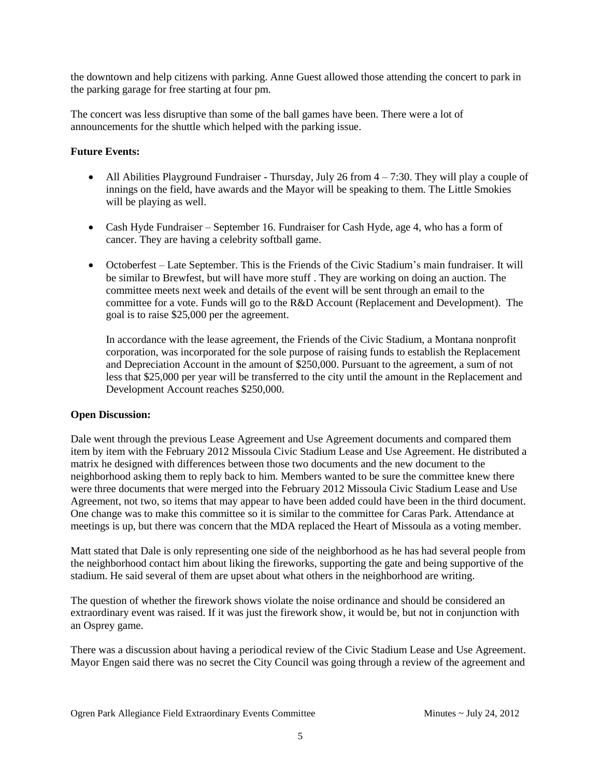the downtown and help citizens with parking. Anne Guest allowed those attending the concert to park in the parking garage for free starting at four pm.

The concert was less disruptive than some of the ball games have been. There were a lot of announcements for the shuttle which helped with the parking issue.

#### **Future Events:**

- All Abilities Playground Fundraiser Thursday, July 26 from  $4 7:30$ . They will play a couple of innings on the field, have awards and the Mayor will be speaking to them. The Little Smokies will be playing as well.
- Cash Hyde Fundraiser September 16. Fundraiser for Cash Hyde, age 4, who has a form of cancer. They are having a celebrity softball game.
- Octoberfest Late September. This is the Friends of the Civic Stadium's main fundraiser. It will be similar to Brewfest, but will have more stuff . They are working on doing an auction. The committee meets next week and details of the event will be sent through an email to the committee for a vote. Funds will go to the R&D Account (Replacement and Development). The goal is to raise \$25,000 per the agreement.

In accordance with the lease agreement, the Friends of the Civic Stadium, a Montana nonprofit corporation, was incorporated for the sole purpose of raising funds to establish the Replacement and Depreciation Account in the amount of \$250,000. Pursuant to the agreement, a sum of not less that \$25,000 per year will be transferred to the city until the amount in the Replacement and Development Account reaches \$250,000.

#### **Open Discussion:**

Dale went through the previous Lease Agreement and Use Agreement documents and compared them item by item with the February 2012 Missoula Civic Stadium Lease and Use Agreement. He distributed a matrix he designed with differences between those two documents and the new document to the neighborhood asking them to reply back to him. Members wanted to be sure the committee knew there were three documents that were merged into the February 2012 Missoula Civic Stadium Lease and Use Agreement, not two, so items that may appear to have been added could have been in the third document. One change was to make this committee so it is similar to the committee for Caras Park. Attendance at meetings is up, but there was concern that the MDA replaced the Heart of Missoula as a voting member.

Matt stated that Dale is only representing one side of the neighborhood as he has had several people from the neighborhood contact him about liking the fireworks, supporting the gate and being supportive of the stadium. He said several of them are upset about what others in the neighborhood are writing.

The question of whether the firework shows violate the noise ordinance and should be considered an extraordinary event was raised. If it was just the firework show, it would be, but not in conjunction with an Osprey game.

There was a discussion about having a periodical review of the Civic Stadium Lease and Use Agreement. Mayor Engen said there was no secret the City Council was going through a review of the agreement and